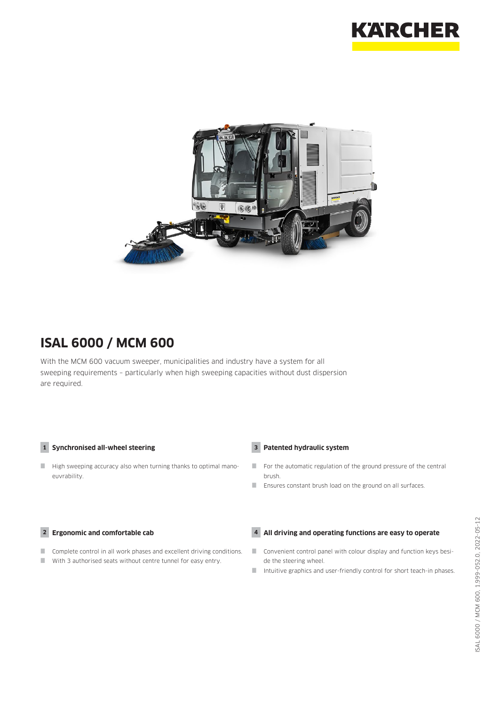



# **ISAL 6000 / MCM 600**

With the MCM 600 vacuum sweeper, municipalities and industry have a system for all sweeping requirements – particularly when high sweeping capacities without dust dispersion are required.

### **1 Synchronised all-wheel steering**

High sweeping accuracy also when turning thanks to optimal manoeuvrability.

#### **2 Ergonomic and comfortable cab**

- **Complete control in all work phases and excellent driving conditions.**
- With 3 authorised seats without centre tunnel for easy entry.

### **3 Patented hydraulic system**

- For the automatic regulation of the ground pressure of the central brush.
- Ensures constant brush load on the ground on all surfaces.

### **4 All driving and operating functions are easy to operate**

- Convenient control panel with colour display and function keys beside the steering wheel.
- Intuitive graphics and user-friendly control for short teach-in phases.